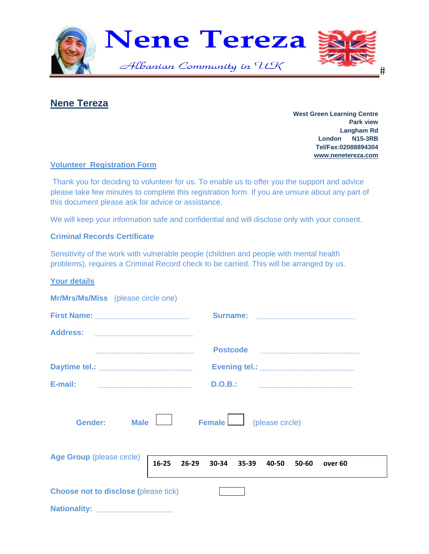

# **Nene Tereza**

**West Green Learning Centre Park view Langham Rd London N15-3RB Tel/Fax:02088894304 www.nenetereza.com**

#### **Volunteer Registration Form**

 Thank you for deciding to volunteer for us. To enable us to offer you the support and advice please take few minutes to complete this registration form. If you are unsure about any part of this document please ask for advice or assistance.

We will keep your information safe and confidential and will disclose only with your consent.

## **Criminal Records Certificate**

Sensitivity of the work with vulnerable people (children and people with mental health problems), requires a Criminal Record check to be carried. This will be arranged by us.

### **Your details**

| Mr/Mrs/Ms/Miss (please circle one)                          |                                                   |  |  |  |  |  |  |  |
|-------------------------------------------------------------|---------------------------------------------------|--|--|--|--|--|--|--|
| First Name: ________________________                        | Surname: <u>_______________________</u>           |  |  |  |  |  |  |  |
| Address: __________________________                         |                                                   |  |  |  |  |  |  |  |
| <u> 1989 - Johann John Stein, market fransk politiker (</u> | Postcode Postcode                                 |  |  |  |  |  |  |  |
| Daytime tel.: ________________________                      | Evening tel.: _________________________           |  |  |  |  |  |  |  |
|                                                             |                                                   |  |  |  |  |  |  |  |
| $\Box$<br>Gender:<br><b>Male</b>                            | <b>Female</b> (please circle)                     |  |  |  |  |  |  |  |
| Age Group (please circle)                                   | 16-25 26-29 30-34 35-39 40-50<br>50-60<br>over 60 |  |  |  |  |  |  |  |
| <b>Choose not to disclose (please tick)</b>                 |                                                   |  |  |  |  |  |  |  |
| Nationality: __________________                             |                                                   |  |  |  |  |  |  |  |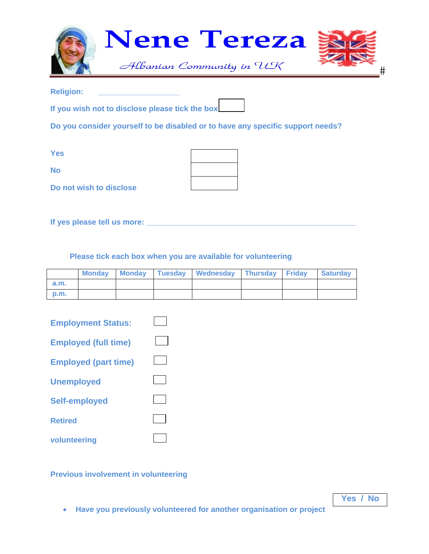

**Religion:** \_\_\_\_\_\_\_\_\_\_\_\_\_\_\_\_\_\_\_\_\_

**If you wish not to disclose please tick the box** 

**Do you consider yourself to be disabled or to have any specific support needs?** 

**Yes No** 

**Do not wish to disclose** 

**If yes please tell us more: \_\_\_\_\_\_\_\_\_\_\_\_\_\_\_\_\_\_\_\_\_\_\_\_\_\_\_\_\_\_\_\_\_\_\_\_\_\_\_\_\_\_\_\_\_\_\_\_\_** 

 **Please tick each box when you are available for volunteering** 

|             |  | Monday Monday Tuesday Wednesday Thursday Friday |  | <b>■ Saturdav</b> |
|-------------|--|-------------------------------------------------|--|-------------------|
| a.m.        |  |                                                 |  |                   |
| <b>p.m.</b> |  |                                                 |  |                   |

| <b>Employment Status:</b>   |  |
|-----------------------------|--|
| <b>Employed (full time)</b> |  |
| <b>Employed (part time)</b> |  |
| <b>Unemployed</b>           |  |
| <b>Self-employed</b>        |  |
| <b>Retired</b>              |  |
| volunteering                |  |

**Previous involvement in volunteering** 

 **Yes / No** 

**Have you previously volunteered for another organisation or project**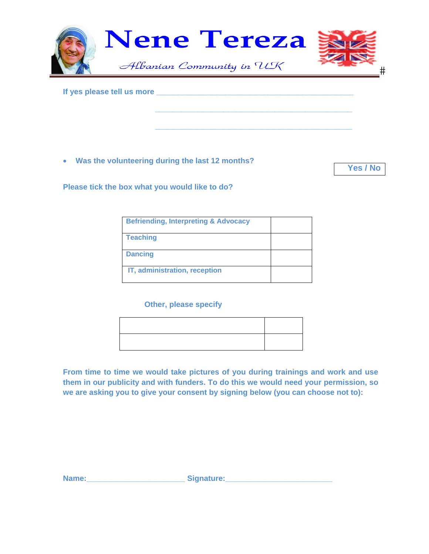

 **\_\_\_\_\_\_\_\_\_\_\_\_\_\_\_\_\_\_\_\_\_\_\_\_\_\_\_\_\_\_\_\_\_\_\_\_\_\_\_\_\_\_\_\_\_\_** 

 **\_\_\_\_\_\_\_\_\_\_\_\_\_\_\_\_\_\_\_\_\_\_\_\_\_\_\_\_\_\_\_\_\_\_\_\_\_\_\_\_\_\_\_\_\_\_** 

|  | If yes please tell us more |  |  |
|--|----------------------------|--|--|
|  |                            |  |  |

**Was the volunteering during the last 12 months?** 

 **Yes / No** 

**Please tick the box what you would like to do?** 

| <b>Befriending, Interpreting &amp; Advocacy</b> |  |
|-------------------------------------------------|--|
| <b>Teaching</b>                                 |  |
| <b>Dancing</b>                                  |  |
| IT, administration, reception                   |  |

#### **Other, please specify**

**From time to time we would take pictures of you during trainings and work and use them in our publicity and with funders. To do this we would need your permission, so we are asking you to give your consent by signing below (you can choose not to):** 

| . .<br>. . |  |  |  |  |
|------------|--|--|--|--|

Signature: